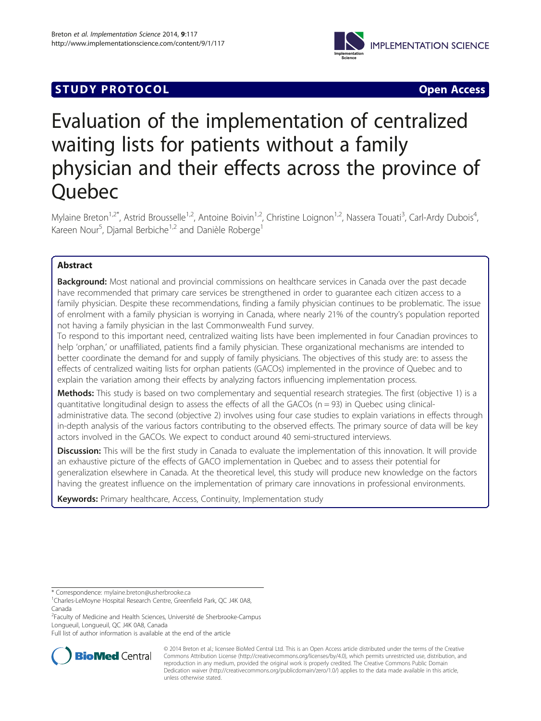# **STUDY PROTOCOL CONSUMING THE CONSUMING OPEN ACCESS**



# Evaluation of the implementation of centralized waiting lists for patients without a family physician and their effects across the province of Quebec

Mylaine Breton<sup>1,2\*</sup>, Astrid Brousselle<sup>1,2</sup>, Antoine Boivin<sup>1,2</sup>, Christine Loignon<sup>1,2</sup>, Nassera Touati<sup>3</sup>, Carl-Ardy Dubois<sup>4</sup> , Kareen Nour<sup>5</sup>, Djamal Berbiche<sup>1,2</sup> and Danièle Roberge<sup>1</sup>

# Abstract

Background: Most national and provincial commissions on healthcare services in Canada over the past decade have recommended that primary care services be strengthened in order to guarantee each citizen access to a family physician. Despite these recommendations, finding a family physician continues to be problematic. The issue of enrolment with a family physician is worrying in Canada, where nearly 21% of the country's population reported not having a family physician in the last Commonwealth Fund survey.

To respond to this important need, centralized waiting lists have been implemented in four Canadian provinces to help 'orphan,' or unaffiliated, patients find a family physician. These organizational mechanisms are intended to better coordinate the demand for and supply of family physicians. The objectives of this study are: to assess the effects of centralized waiting lists for orphan patients (GACOs) implemented in the province of Quebec and to explain the variation among their effects by analyzing factors influencing implementation process.

Methods: This study is based on two complementary and sequential research strategies. The first (objective 1) is a quantitative longitudinal design to assess the effects of all the GACOs ( $n = 93$ ) in Quebec using clinicaladministrative data. The second (objective 2) involves using four case studies to explain variations in effects through in-depth analysis of the various factors contributing to the observed effects. The primary source of data will be key actors involved in the GACOs. We expect to conduct around 40 semi-structured interviews.

Discussion: This will be the first study in Canada to evaluate the implementation of this innovation. It will provide an exhaustive picture of the effects of GACO implementation in Quebec and to assess their potential for generalization elsewhere in Canada. At the theoretical level, this study will produce new knowledge on the factors having the greatest influence on the implementation of primary care innovations in professional environments.

Keywords: Primary healthcare, Access, Continuity, Implementation study

<sup>2</sup>Faculty of Medicine and Health Sciences, Université de Sherbrooke-Campus Longueuil, Longueuil, QC J4K 0A8, Canada

Full list of author information is available at the end of the article



© 2014 Breton et al.; licensee BioMed Central Ltd. This is an Open Access article distributed under the terms of the Creative Commons Attribution License [\(http://creativecommons.org/licenses/by/4.0\)](http://creativecommons.org/licenses/by/4.0), which permits unrestricted use, distribution, and reproduction in any medium, provided the original work is properly credited. The Creative Commons Public Domain Dedication waiver [\(http://creativecommons.org/publicdomain/zero/1.0/](http://creativecommons.org/publicdomain/zero/1.0/)) applies to the data made available in this article, unless otherwise stated.

<sup>\*</sup> Correspondence: [mylaine.breton@usherbrooke.ca](mailto:mylaine.breton@usherbrooke.ca) <sup>1</sup>

<sup>&</sup>lt;sup>1</sup> Charles-LeMoyne Hospital Research Centre, Greenfield Park, QC J4K 0A8, Canada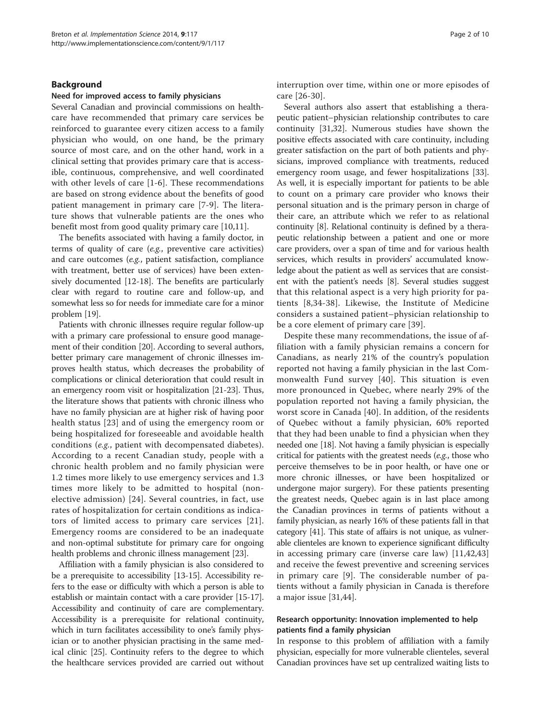#### Background

#### Need for improved access to family physicians

Several Canadian and provincial commissions on healthcare have recommended that primary care services be reinforced to guarantee every citizen access to a family physician who would, on one hand, be the primary source of most care, and on the other hand, work in a clinical setting that provides primary care that is accessible, continuous, comprehensive, and well coordinated with other levels of care [\[1](#page-7-0)-[6\]](#page-8-0). These recommendations are based on strong evidence about the benefits of good patient management in primary care [[7-9](#page-8-0)]. The literature shows that vulnerable patients are the ones who benefit most from good quality primary care [[10,11\]](#page-8-0).

The benefits associated with having a family doctor, in terms of quality of care (e.g., preventive care activities) and care outcomes (e.g., patient satisfaction, compliance with treatment, better use of services) have been extensively documented [\[12](#page-8-0)-[18\]](#page-8-0). The benefits are particularly clear with regard to routine care and follow-up, and somewhat less so for needs for immediate care for a minor problem [\[19\]](#page-8-0).

Patients with chronic illnesses require regular follow-up with a primary care professional to ensure good management of their condition [[20](#page-8-0)]. According to several authors, better primary care management of chronic illnesses improves health status, which decreases the probability of complications or clinical deterioration that could result in an emergency room visit or hospitalization [[21](#page-8-0)-[23](#page-8-0)]. Thus, the literature shows that patients with chronic illness who have no family physician are at higher risk of having poor health status [\[23\]](#page-8-0) and of using the emergency room or being hospitalized for foreseeable and avoidable health conditions (e.g., patient with decompensated diabetes). According to a recent Canadian study, people with a chronic health problem and no family physician were 1.2 times more likely to use emergency services and 1.3 times more likely to be admitted to hospital (nonelective admission) [[24](#page-8-0)]. Several countries, in fact, use rates of hospitalization for certain conditions as indicators of limited access to primary care services [[21](#page-8-0)]. Emergency rooms are considered to be an inadequate and non-optimal substitute for primary care for ongoing health problems and chronic illness management [[23](#page-8-0)].

Affiliation with a family physician is also considered to be a prerequisite to accessibility [\[13-15](#page-8-0)]. Accessibility refers to the ease or difficulty with which a person is able to establish or maintain contact with a care provider [[15](#page-8-0)-[17](#page-8-0)]. Accessibility and continuity of care are complementary. Accessibility is a prerequisite for relational continuity, which in turn facilitates accessibility to one's family physician or to another physician practising in the same medical clinic [[25](#page-8-0)]. Continuity refers to the degree to which the healthcare services provided are carried out without interruption over time, within one or more episodes of care [\[26-30\]](#page-8-0).

Several authors also assert that establishing a therapeutic patient–physician relationship contributes to care continuity [[31,32\]](#page-8-0). Numerous studies have shown the positive effects associated with care continuity, including greater satisfaction on the part of both patients and physicians, improved compliance with treatments, reduced emergency room usage, and fewer hospitalizations [\[33](#page-8-0)]. As well, it is especially important for patients to be able to count on a primary care provider who knows their personal situation and is the primary person in charge of their care, an attribute which we refer to as relational continuity [[8\]](#page-8-0). Relational continuity is defined by a therapeutic relationship between a patient and one or more care providers, over a span of time and for various health services, which results in providers' accumulated knowledge about the patient as well as services that are consistent with the patient's needs [\[8](#page-8-0)]. Several studies suggest that this relational aspect is a very high priority for patients [\[8](#page-8-0),[34-38\]](#page-8-0). Likewise, the Institute of Medicine considers a sustained patient–physician relationship to be a core element of primary care [[39\]](#page-8-0).

Despite these many recommendations, the issue of affiliation with a family physician remains a concern for Canadians, as nearly 21% of the country's population reported not having a family physician in the last Commonwealth Fund survey [[40\]](#page-8-0). This situation is even more pronounced in Quebec, where nearly 29% of the population reported not having a family physician, the worst score in Canada [[40](#page-8-0)]. In addition, of the residents of Quebec without a family physician, 60% reported that they had been unable to find a physician when they needed one [[18](#page-8-0)]. Not having a family physician is especially critical for patients with the greatest needs (e.g., those who perceive themselves to be in poor health, or have one or more chronic illnesses, or have been hospitalized or undergone major surgery). For these patients presenting the greatest needs, Quebec again is in last place among the Canadian provinces in terms of patients without a family physician, as nearly 16% of these patients fall in that category [[41](#page-8-0)]. This state of affairs is not unique, as vulnerable clienteles are known to experience significant difficulty in accessing primary care (inverse care law) [[11,42,43](#page-8-0)] and receive the fewest preventive and screening services in primary care [[9\]](#page-8-0). The considerable number of patients without a family physician in Canada is therefore a major issue [[31,44](#page-8-0)].

# Research opportunity: Innovation implemented to help patients find a family physician

In response to this problem of affiliation with a family physician, especially for more vulnerable clienteles, several Canadian provinces have set up centralized waiting lists to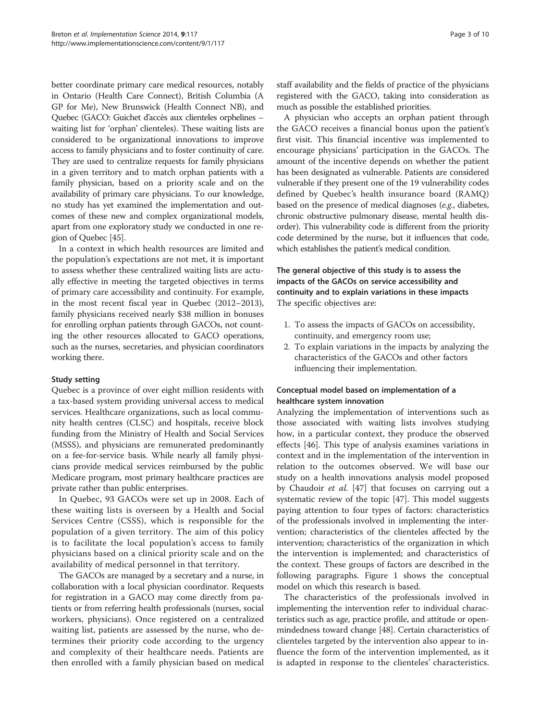better coordinate primary care medical resources, notably in Ontario (Health Care Connect), British Columbia (A GP for Me), New Brunswick (Health Connect NB), and Quebec (GACO: Guichet d'accès aux clienteles orphelines – waiting list for 'orphan' clienteles). These waiting lists are considered to be organizational innovations to improve access to family physicians and to foster continuity of care. They are used to centralize requests for family physicians in a given territory and to match orphan patients with a family physician, based on a priority scale and on the availability of primary care physicians. To our knowledge, no study has yet examined the implementation and outcomes of these new and complex organizational models, apart from one exploratory study we conducted in one region of Quebec [[45](#page-8-0)].

In a context in which health resources are limited and the population's expectations are not met, it is important to assess whether these centralized waiting lists are actually effective in meeting the targeted objectives in terms of primary care accessibility and continuity. For example, in the most recent fiscal year in Quebec (2012–2013), family physicians received nearly \$38 million in bonuses for enrolling orphan patients through GACOs, not counting the other resources allocated to GACO operations, such as the nurses, secretaries, and physician coordinators working there.

# Study setting

Quebec is a province of over eight million residents with a tax-based system providing universal access to medical services. Healthcare organizations, such as local community health centres (CLSC) and hospitals, receive block funding from the Ministry of Health and Social Services (MSSS), and physicians are remunerated predominantly on a fee-for-service basis. While nearly all family physicians provide medical services reimbursed by the public Medicare program, most primary healthcare practices are private rather than public enterprises.

In Quebec, 93 GACOs were set up in 2008. Each of these waiting lists is overseen by a Health and Social Services Centre (CSSS), which is responsible for the population of a given territory. The aim of this policy is to facilitate the local population's access to family physicians based on a clinical priority scale and on the availability of medical personnel in that territory.

The GACOs are managed by a secretary and a nurse, in collaboration with a local physician coordinator. Requests for registration in a GACO may come directly from patients or from referring health professionals (nurses, social workers, physicians). Once registered on a centralized waiting list, patients are assessed by the nurse, who determines their priority code according to the urgency and complexity of their healthcare needs. Patients are then enrolled with a family physician based on medical staff availability and the fields of practice of the physicians registered with the GACO, taking into consideration as much as possible the established priorities.

A physician who accepts an orphan patient through the GACO receives a financial bonus upon the patient's first visit. This financial incentive was implemented to encourage physicians' participation in the GACOs. The amount of the incentive depends on whether the patient has been designated as vulnerable. Patients are considered vulnerable if they present one of the 19 vulnerability codes defined by Quebec's health insurance board (RAMQ) based on the presence of medical diagnoses (e.g., diabetes, chronic obstructive pulmonary disease, mental health disorder). This vulnerability code is different from the priority code determined by the nurse, but it influences that code, which establishes the patient's medical condition.

# The general objective of this study is to assess the impacts of the GACOs on service accessibility and continuity and to explain variations in these impacts The specific objectives are:

- 1. To assess the impacts of GACOs on accessibility, continuity, and emergency room use;
- 2. To explain variations in the impacts by analyzing the characteristics of the GACOs and other factors influencing their implementation.

# Conceptual model based on implementation of a healthcare system innovation

Analyzing the implementation of interventions such as those associated with waiting lists involves studying how, in a particular context, they produce the observed effects [[46](#page-8-0)]. This type of analysis examines variations in context and in the implementation of the intervention in relation to the outcomes observed. We will base our study on a health innovations analysis model proposed by Chaudoir et al. [\[47\]](#page-8-0) that focuses on carrying out a systematic review of the topic [[47](#page-8-0)]. This model suggests paying attention to four types of factors: characteristics of the professionals involved in implementing the intervention; characteristics of the clienteles affected by the intervention; characteristics of the organization in which the intervention is implemented; and characteristics of the context. These groups of factors are described in the following paragraphs. Figure [1](#page-3-0) shows the conceptual model on which this research is based.

The characteristics of the professionals involved in implementing the intervention refer to individual characteristics such as age, practice profile, and attitude or openmindedness toward change [\[48](#page-8-0)]. Certain characteristics of clienteles targeted by the intervention also appear to influence the form of the intervention implemented, as it is adapted in response to the clienteles' characteristics.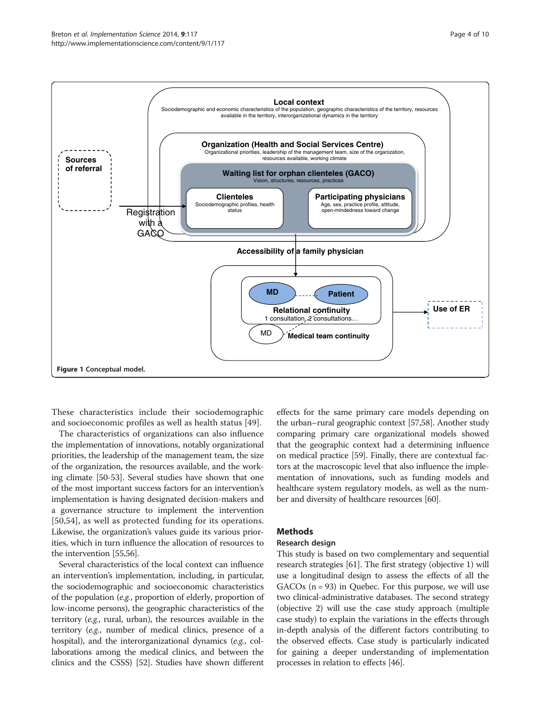<span id="page-3-0"></span>

These characteristics include their sociodemographic and socioeconomic profiles as well as health status [[49\]](#page-8-0).

The characteristics of organizations can also influence the implementation of innovations, notably organizational priorities, the leadership of the management team, the size of the organization, the resources available, and the working climate [\[50-](#page-8-0)[53\]](#page-9-0). Several studies have shown that one of the most important success factors for an intervention's implementation is having designated decision-makers and a governance structure to implement the intervention [[50](#page-8-0),[54\]](#page-9-0), as well as protected funding for its operations. Likewise, the organization's values guide its various priorities, which in turn influence the allocation of resources to the intervention [[55,56](#page-9-0)].

Several characteristics of the local context can influence an intervention's implementation, including, in particular, the sociodemographic and socioeconomic characteristics of the population (e.g., proportion of elderly, proportion of low-income persons), the geographic characteristics of the territory (e.g., rural, urban), the resources available in the territory (e.g., number of medical clinics, presence of a hospital), and the interorganizational dynamics (e.g., collaborations among the medical clinics, and between the clinics and the CSSS) [[52](#page-9-0)]. Studies have shown different

effects for the same primary care models depending on the urban–rural geographic context [\[57,58](#page-9-0)]. Another study comparing primary care organizational models showed that the geographic context had a determining influence on medical practice [\[59\]](#page-9-0). Finally, there are contextual factors at the macroscopic level that also influence the implementation of innovations, such as funding models and healthcare system regulatory models, as well as the number and diversity of healthcare resources [[60](#page-9-0)].

# Methods

#### Research design

This study is based on two complementary and sequential research strategies [[61\]](#page-9-0). The first strategy (objective 1) will use a longitudinal design to assess the effects of all the GACOs  $(n = 93)$  in Quebec. For this purpose, we will use two clinical-administrative databases. The second strategy (objective 2) will use the case study approach (multiple case study) to explain the variations in the effects through in-depth analysis of the different factors contributing to the observed effects. Case study is particularly indicated for gaining a deeper understanding of implementation processes in relation to effects [[46](#page-8-0)].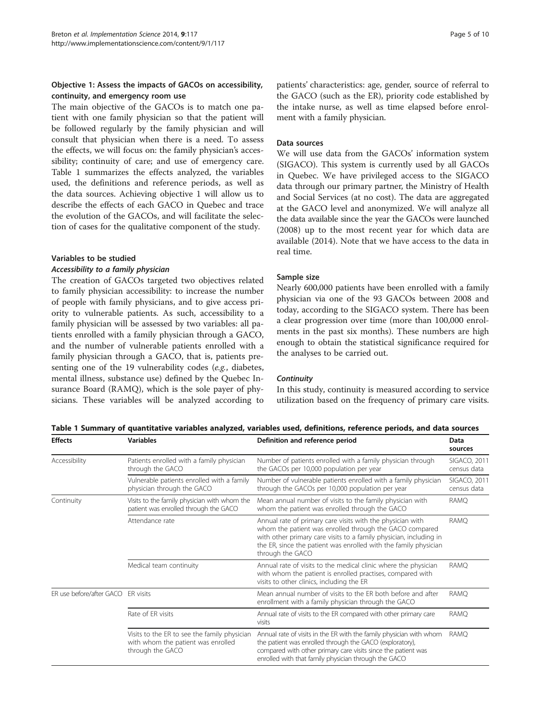# Objective 1: Assess the impacts of GACOs on accessibility, continuity, and emergency room use

The main objective of the GACOs is to match one patient with one family physician so that the patient will be followed regularly by the family physician and will consult that physician when there is a need. To assess the effects, we will focus on: the family physician's accessibility; continuity of care; and use of emergency care. Table 1 summarizes the effects analyzed, the variables used, the definitions and reference periods, as well as the data sources. Achieving objective 1 will allow us to describe the effects of each GACO in Quebec and trace the evolution of the GACOs, and will facilitate the selection of cases for the qualitative component of the study.

# Variables to be studied

#### Accessibility to a family physician

The creation of GACOs targeted two objectives related to family physician accessibility: to increase the number of people with family physicians, and to give access priority to vulnerable patients. As such, accessibility to a family physician will be assessed by two variables: all patients enrolled with a family physician through a GACO, and the number of vulnerable patients enrolled with a family physician through a GACO, that is, patients presenting one of the 19 vulnerability codes (e.g., diabetes, mental illness, substance use) defined by the Quebec Insurance Board (RAMQ), which is the sole payer of physicians. These variables will be analyzed according to

patients' characteristics: age, gender, source of referral to the GACO (such as the ER), priority code established by the intake nurse, as well as time elapsed before enrolment with a family physician.

#### Data sources

We will use data from the GACOs' information system (SIGACO). This system is currently used by all GACOs in Quebec. We have privileged access to the SIGACO data through our primary partner, the Ministry of Health and Social Services (at no cost). The data are aggregated at the GACO level and anonymized. We will analyze all the data available since the year the GACOs were launched (2008) up to the most recent year for which data are available (2014). Note that we have access to the data in real time.

# Sample size

Nearly 600,000 patients have been enrolled with a family physician via one of the 93 GACOs between 2008 and today, according to the SIGACO system. There has been a clear progression over time (more than 100,000 enrolments in the past six months). These numbers are high enough to obtain the statistical significance required for the analyses to be carried out.

#### **Continuity**

In this study, continuity is measured according to service utilization based on the frequency of primary care visits.

Table 1 Summary of quantitative variables analyzed, variables used, definitions, reference periods, and data sources

| <b>Effects</b>           | <b>Variables</b>                                                                                       | Definition and reference period                                                                                                                                                                                                                                                     | Data<br>sources                    |
|--------------------------|--------------------------------------------------------------------------------------------------------|-------------------------------------------------------------------------------------------------------------------------------------------------------------------------------------------------------------------------------------------------------------------------------------|------------------------------------|
| Accessibility            | Patients enrolled with a family physician<br>through the GACO                                          | Number of patients enrolled with a family physician through<br>the GACOs per 10,000 population per year                                                                                                                                                                             | <b>SIGACO, 2011</b><br>census data |
|                          | Vulnerable patients enrolled with a family<br>physician through the GACO                               | Number of vulnerable patients enrolled with a family physician<br>through the GACOs per 10,000 population per year                                                                                                                                                                  | <b>SIGACO, 2011</b><br>census data |
| Continuity               | Visits to the family physician with whom the<br>patient was enrolled through the GACO                  | Mean annual number of visits to the family physician with<br>whom the patient was enrolled through the GACO                                                                                                                                                                         | RAMO                               |
|                          | Attendance rate                                                                                        | Annual rate of primary care visits with the physician with<br>whom the patient was enrolled through the GACO compared<br>with other primary care visits to a family physician, including in<br>the ER, since the patient was enrolled with the family physician<br>through the GACO | RAMO                               |
|                          | Medical team continuity                                                                                | Annual rate of visits to the medical clinic where the physician<br>with whom the patient is enrolled practises, compared with<br>visits to other clinics, including the ER                                                                                                          | RAMO                               |
| ER use before/after GACO | FR visits                                                                                              | Mean annual number of visits to the ER both before and after<br>enrollment with a family physician through the GACO                                                                                                                                                                 | RAMQ                               |
|                          | Rate of ER visits                                                                                      | Annual rate of visits to the ER compared with other primary care<br>visits                                                                                                                                                                                                          | RAMQ                               |
|                          | Visits to the ER to see the family physician<br>with whom the patient was enrolled<br>through the GACO | Annual rate of visits in the ER with the family physician with whom<br>the patient was enrolled through the GACO (exploratory),<br>compared with other primary care visits since the patient was<br>enrolled with that family physician through the GACO                            | RAMO                               |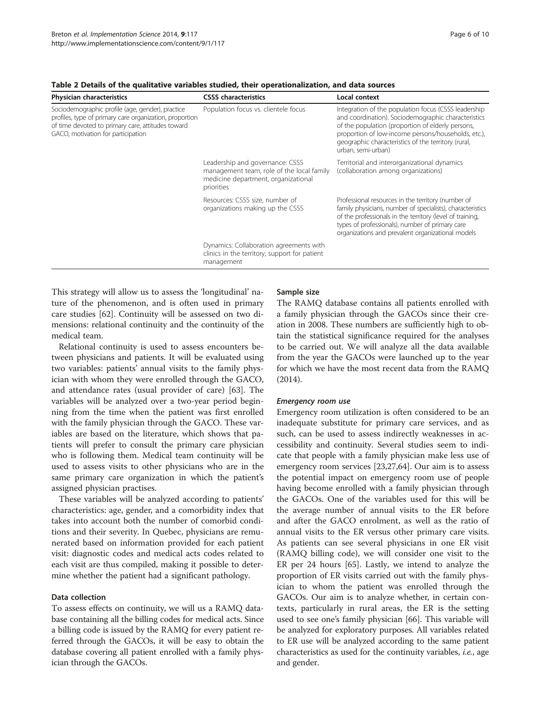| Physician characteristics                                                                                                                                                                              | <b>CSSS characteristics</b>                                                                                                       | Local context                                                                                                                                                                                                                                                                                         |
|--------------------------------------------------------------------------------------------------------------------------------------------------------------------------------------------------------|-----------------------------------------------------------------------------------------------------------------------------------|-------------------------------------------------------------------------------------------------------------------------------------------------------------------------------------------------------------------------------------------------------------------------------------------------------|
| Sociodemographic profile (age, gender), practice<br>profiles, type of primary care organization, proportion<br>of time devoted to primary care, attitudes toward<br>GACO, motivation for participation | Population focus vs. clientele focus                                                                                              | Integration of the population focus (CSSS leadership)<br>and coordination). Sociodemographic characteristics<br>of the population (proportion of elderly persons,<br>proportion of low-income persons/households, etc.),<br>geographic characteristics of the territory (rural,<br>urban, semi-urban) |
|                                                                                                                                                                                                        | Leadership and governance: CSSS<br>management team, role of the local family<br>medicine department, organizational<br>priorities | Territorial and interorganizational dynamics<br>(collaboration among organizations)                                                                                                                                                                                                                   |
|                                                                                                                                                                                                        | Resources: CSSS size, number of<br>organizations making up the CSSS                                                               | Professional resources in the territory (number of<br>family physicians, number of specialists), characteristics<br>of the professionals in the territory (level of training,<br>types of professionals), number of primary care<br>organizations and prevalent organizational models                 |
|                                                                                                                                                                                                        | Dynamics: Collaboration agreements with<br>clinics in the territory, support for patient<br>management                            |                                                                                                                                                                                                                                                                                                       |

<span id="page-5-0"></span>Table 2 Details of the qualitative variables studied, their operationalization, and data sources

This strategy will allow us to assess the 'longitudinal' nature of the phenomenon, and is often used in primary care studies [\[62\]](#page-9-0). Continuity will be assessed on two dimensions: relational continuity and the continuity of the medical team.

Relational continuity is used to assess encounters between physicians and patients. It will be evaluated using two variables: patients' annual visits to the family physician with whom they were enrolled through the GACO, and attendance rates (usual provider of care) [\[63\]](#page-9-0). The variables will be analyzed over a two-year period beginning from the time when the patient was first enrolled with the family physician through the GACO. These variables are based on the literature, which shows that patients will prefer to consult the primary care physician who is following them. Medical team continuity will be used to assess visits to other physicians who are in the same primary care organization in which the patient's assigned physician practises.

These variables will be analyzed according to patients' characteristics: age, gender, and a comorbidity index that takes into account both the number of comorbid conditions and their severity. In Quebec, physicians are remunerated based on information provided for each patient visit: diagnostic codes and medical acts codes related to each visit are thus compiled, making it possible to determine whether the patient had a significant pathology.

#### Data collection

To assess effects on continuity, we will us a RAMQ database containing all the billing codes for medical acts. Since a billing code is issued by the RAMQ for every patient referred through the GACOs, it will be easy to obtain the database covering all patient enrolled with a family physician through the GACOs.

#### Sample size

The RAMQ database contains all patients enrolled with a family physician through the GACOs since their creation in 2008. These numbers are sufficiently high to obtain the statistical significance required for the analyses to be carried out. We will analyze all the data available from the year the GACOs were launched up to the year for which we have the most recent data from the RAMQ (2014).

#### Emergency room use

Emergency room utilization is often considered to be an inadequate substitute for primary care services, and as such, can be used to assess indirectly weaknesses in accessibility and continuity. Several studies seem to indicate that people with a family physician make less use of emergency room services [\[23,27](#page-8-0)[,64](#page-9-0)]. Our aim is to assess the potential impact on emergency room use of people having become enrolled with a family physician through the GACOs. One of the variables used for this will be the average number of annual visits to the ER before and after the GACO enrolment, as well as the ratio of annual visits to the ER versus other primary care visits. As patients can see several physicians in one ER visit (RAMQ billing code), we will consider one visit to the ER per 24 hours [[65\]](#page-9-0). Lastly, we intend to analyze the proportion of ER visits carried out with the family physician to whom the patient was enrolled through the GACOs. Our aim is to analyze whether, in certain contexts, particularly in rural areas, the ER is the setting used to see one's family physician [[66](#page-9-0)]. This variable will be analyzed for exploratory purposes. All variables related to ER use will be analyzed according to the same patient characteristics as used for the continuity variables, i.e., age and gender.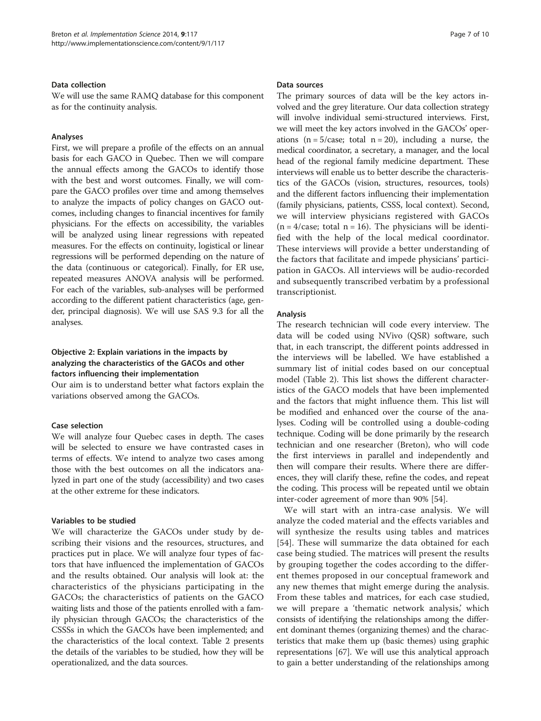#### Data collection

We will use the same RAMQ database for this component as for the continuity analysis.

#### Analyses

First, we will prepare a profile of the effects on an annual basis for each GACO in Quebec. Then we will compare the annual effects among the GACOs to identify those with the best and worst outcomes. Finally, we will compare the GACO profiles over time and among themselves to analyze the impacts of policy changes on GACO outcomes, including changes to financial incentives for family physicians. For the effects on accessibility, the variables will be analyzed using linear regressions with repeated measures. For the effects on continuity, logistical or linear regressions will be performed depending on the nature of the data (continuous or categorical). Finally, for ER use, repeated measures ANOVA analysis will be performed. For each of the variables, sub-analyses will be performed according to the different patient characteristics (age, gender, principal diagnosis). We will use SAS 9.3 for all the analyses.

# Objective 2: Explain variations in the impacts by analyzing the characteristics of the GACOs and other factors influencing their implementation

Our aim is to understand better what factors explain the variations observed among the GACOs.

#### Case selection

We will analyze four Quebec cases in depth. The cases will be selected to ensure we have contrasted cases in terms of effects. We intend to analyze two cases among those with the best outcomes on all the indicators analyzed in part one of the study (accessibility) and two cases at the other extreme for these indicators.

#### Variables to be studied

We will characterize the GACOs under study by describing their visions and the resources, structures, and practices put in place. We will analyze four types of factors that have influenced the implementation of GACOs and the results obtained. Our analysis will look at: the characteristics of the physicians participating in the GACOs; the characteristics of patients on the GACO waiting lists and those of the patients enrolled with a family physician through GACOs; the characteristics of the CSSSs in which the GACOs have been implemented; and the characteristics of the local context. Table [2](#page-5-0) presents the details of the variables to be studied, how they will be operationalized, and the data sources.

#### Data sources

The primary sources of data will be the key actors involved and the grey literature. Our data collection strategy will involve individual semi-structured interviews. First, we will meet the key actors involved in the GACOs' operations ( $n = 5$ /case; total  $n = 20$ ), including a nurse, the medical coordinator, a secretary, a manager, and the local head of the regional family medicine department. These interviews will enable us to better describe the characteristics of the GACOs (vision, structures, resources, tools) and the different factors influencing their implementation (family physicians, patients, CSSS, local context). Second, we will interview physicians registered with GACOs  $(n = 4/case; total n = 16)$ . The physicians will be identified with the help of the local medical coordinator. These interviews will provide a better understanding of the factors that facilitate and impede physicians' participation in GACOs. All interviews will be audio-recorded and subsequently transcribed verbatim by a professional transcriptionist.

#### Analysis

The research technician will code every interview. The data will be coded using NVivo (QSR) software, such that, in each transcript, the different points addressed in the interviews will be labelled. We have established a summary list of initial codes based on our conceptual model (Table [2\)](#page-5-0). This list shows the different characteristics of the GACO models that have been implemented and the factors that might influence them. This list will be modified and enhanced over the course of the analyses. Coding will be controlled using a double-coding technique. Coding will be done primarily by the research technician and one researcher (Breton), who will code the first interviews in parallel and independently and then will compare their results. Where there are differences, they will clarify these, refine the codes, and repeat the coding. This process will be repeated until we obtain inter-coder agreement of more than 90% [[54\]](#page-9-0).

We will start with an intra-case analysis. We will analyze the coded material and the effects variables and will synthesize the results using tables and matrices [[54](#page-9-0)]. These will summarize the data obtained for each case being studied. The matrices will present the results by grouping together the codes according to the different themes proposed in our conceptual framework and any new themes that might emerge during the analysis. From these tables and matrices, for each case studied, we will prepare a 'thematic network analysis,' which consists of identifying the relationships among the different dominant themes (organizing themes) and the characteristics that make them up (basic themes) using graphic representations [[67](#page-9-0)]. We will use this analytical approach to gain a better understanding of the relationships among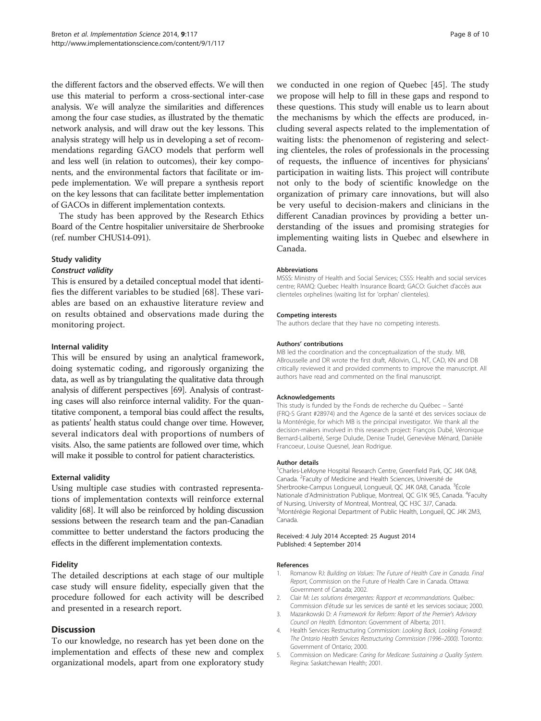<span id="page-7-0"></span>the different factors and the observed effects. We will then use this material to perform a cross-sectional inter-case analysis. We will analyze the similarities and differences among the four case studies, as illustrated by the thematic network analysis, and will draw out the key lessons. This analysis strategy will help us in developing a set of recommendations regarding GACO models that perform well and less well (in relation to outcomes), their key components, and the environmental factors that facilitate or impede implementation. We will prepare a synthesis report on the key lessons that can facilitate better implementation of GACOs in different implementation contexts.

The study has been approved by the Research Ethics Board of the Centre hospitalier universitaire de Sherbrooke (ref. number CHUS14-091).

# Study validity

#### Construct validity

This is ensured by a detailed conceptual model that identifies the different variables to be studied [[68\]](#page-9-0). These variables are based on an exhaustive literature review and on results obtained and observations made during the monitoring project.

# Internal validity

This will be ensured by using an analytical framework, doing systematic coding, and rigorously organizing the data, as well as by triangulating the qualitative data through analysis of different perspectives [\[69](#page-9-0)]. Analysis of contrasting cases will also reinforce internal validity. For the quantitative component, a temporal bias could affect the results, as patients' health status could change over time. However, several indicators deal with proportions of numbers of visits. Also, the same patients are followed over time, which will make it possible to control for patient characteristics.

#### External validity

Using multiple case studies with contrasted representations of implementation contexts will reinforce external validity [\[68\]](#page-9-0). It will also be reinforced by holding discussion sessions between the research team and the pan-Canadian committee to better understand the factors producing the effects in the different implementation contexts.

# Fidelity

The detailed descriptions at each stage of our multiple case study will ensure fidelity, especially given that the procedure followed for each activity will be described and presented in a research report.

# **Discussion**

To our knowledge, no research has yet been done on the implementation and effects of these new and complex organizational models, apart from one exploratory study we conducted in one region of Quebec [[45](#page-8-0)]. The study we propose will help to fill in these gaps and respond to these questions. This study will enable us to learn about the mechanisms by which the effects are produced, including several aspects related to the implementation of waiting lists: the phenomenon of registering and selecting clienteles, the roles of professionals in the processing of requests, the influence of incentives for physicians' participation in waiting lists. This project will contribute not only to the body of scientific knowledge on the organization of primary care innovations, but will also be very useful to decision-makers and clinicians in the different Canadian provinces by providing a better understanding of the issues and promising strategies for implementing waiting lists in Quebec and elsewhere in Canada.

#### Abbreviations

MSSS: Ministry of Health and Social Services; CSSS: Health and social services centre; RAMQ: Quebec Health Insurance Board; GACO: Guichet d'accès aux clienteles orphelines (waiting list for 'orphan' clienteles).

#### Competing interests

The authors declare that they have no competing interests.

#### Authors' contributions

MB led the coordination and the conceptualization of the study. MB, ABrousselle and DR wrote the first draft, ABoivin, CL, NT, CAD, KN and DB critically reviewed it and provided comments to improve the manuscript. All authors have read and commented on the final manuscript.

#### Acknowledgements

This study is funded by the Fonds de recherche du Québec – Santé (FRQ-S Grant #28974) and the Agence de la santé et des services sociaux de la Montérégie, for which MB is the principal investigator. We thank all the decision-makers involved in this research project: François Dubé, Véronique Bernard-Laliberté, Serge Dulude, Denise Trudel, Geneviève Ménard, Danièle Francoeur, Louise Quesnel, Jean Rodrigue.

#### Author details

<sup>1</sup>Charles-LeMoyne Hospital Research Centre, Greenfield Park, QC J4K 0A8 Canada. <sup>2</sup> Faculty of Medicine and Health Sciences, Université de Sherbrooke-Campus Longueuil, Longueuil, QC J4K 0A8, Canada. <sup>3</sup>École Nationale d'Administration Publique, Montreal, QC G1K 9E5, Canada. <sup>4</sup>Faculty of Nursing, University of Montreal, Montreal, QC H3C 3J7, Canada. 5 Montérégie Regional Department of Public Health, Longueil, QC J4K 2M3, Canada.

#### Received: 4 July 2014 Accepted: 25 August 2014 Published: 4 September 2014

#### References

- Romanow RJ: Building on Values: The Future of Health Care in Canada. Final Report, Commission on the Future of Health Care in Canada. Ottawa: Government of Canada; 2002.
- 2. Clair M: Les solutions émergentes: Rapport et recommandations. Québec: Commission d'étude sur les services de santé et les services sociaux; 2000.
- 3. Mazankowski D: A Framework for Reform: Report of the Premier's Advisory Council on Health. Edmonton: Government of Alberta; 2011.
- 4. Health Services Restructuring Commission: Looking Back, Looking Forward: The Ontario Health Services Restructuring Commission (1996–2000). Toronto: Government of Ontario; 2000.
- 5. Commission on Medicare: Caring for Medicare: Sustaining a Quality System. Regina: Saskatchewan Health; 2001.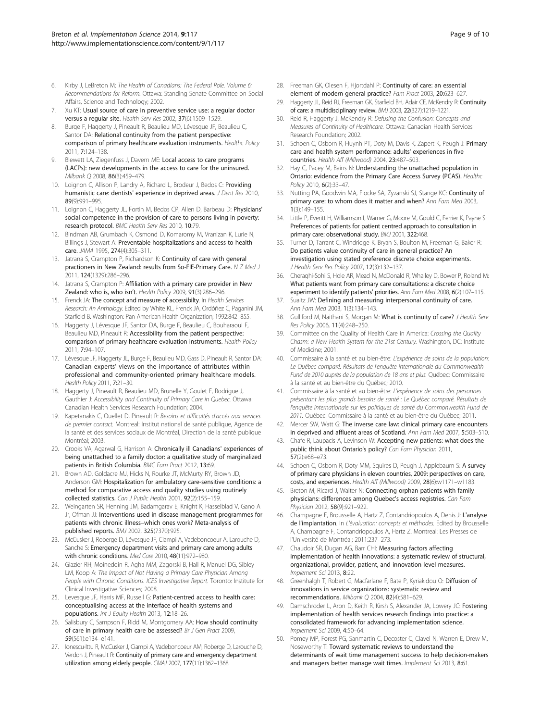- <span id="page-8-0"></span>6. Kirby J, LeBreton M: The Health of Canadians: The Federal Role. Volume 6: Recommendations for Reform. Ottawa: Standing Senate Committee on Social Affairs, Science and Technology; 2002.
- 7. Xu KT: Usual source of care in preventive service use: a regular doctor versus a regular site. Health Serv Res 2002, 37(6):1509–1529.
- 8. Burge F, Haggerty J, Pineault R, Beaulieu MD, Lévesque JF, Beaulieu C, Santor DA: Relational continuity from the patient perspective: comparison of primary healthcare evaluation instruments. Healthc Policy 2011, 7:124–138.
- 9. Blewett LA, Ziegenfuss J, Davern ME: Local access to care programs (LACPs): new developments in the access to care for the uninsured. Milbank Q 2008, 86(3):459–479.
- 10. Loignon C, Allison P, Landry A, Richard L, Brodeur J, Bedos C: Providing humanistic care: dentists' experience in deprived areas. J Dent Res 2010, 89(9):991–995.
- 11. Loignon C, Haggerty JL, Fortin M, Bedos CP, Allen D, Barbeau D: Physicians' social competence in the provision of care to persons living in poverty: research protocol. BMC Health Serv Res 2010, 10:79.
- 12. Bindman AB, Grumbach K, Osmond D, Komaromy M, Vranizan K, Lurie N, Billings J, Stewart A: Preventable hospitalizations and access to health care. JAMA 1995, 274(4):305–311.
- 13. Jatrana S, Crampton P, Richardson K: Continuity of care with general practioners in New Zealand: results from So-FIE-Primary Care. N Z Med J 2011, 124(1329):286–296.
- 14. Jatrana S, Crampton P: Affiliation with a primary care provider in New Zealand: who is, who isn't. Health Policy 2009, 91(3):286–296.
- 15. Frenck JA: The concept and measure of accessibilty. In Health Services Research: An Anthology. Edited by White KL, Frenck JA, Ordóñez C, Paganini JM, Starfield B. Washington: Pan American Health Organization; 1992:842–855.
- 16. Haggerty J, Lévesque JF, Santor DA, Burge F, Beaulieu C, Bouharaoui F, Beaulieu MD, Pineault R: Accessibility from the patient perspective: comparison of primary healthcare evaluation instruments. Health Policy 2011, 7:94–107.
- 17. Lévesque JF, Haggerty JL, Burge F, Beaulieu MD, Gass D, Pineault R, Santor DA: Canadian experts' views on the importance of attributes within professional and community-oriented primary healthcare models. Health Policy 2011, 7:21–30.
- 18. Haggerty J, Pineault R, Beaulieu MD, Brunelle Y, Goulet F, Rodrigue J, Gauthier J: Accessibility and Continuity of Primary Care in Quebec. Ottawa: Canadian Health Services Research Foundation; 2004.
- 19. Kapetanakis C, Ouellet D, Pineault R: Besoins et difficultés d'accès aux services de premier contact. Montreal: Institut national de santé publique, Agence de la santé et des services sociaux de Montréal, Direction de la santé publique Montréal; 2003.
- 20. Crooks VA, Agarwal G, Harrison A: Chronically ill Canadians' experiences of being unattached to a family doctor: a qualitative study of marginalized patients in British Columbia. BMC Fam Pract 2012, 13:69.
- 21. Brown AD, Goldacre MJ, Hicks N, Rourke JT, McMurty RY, Brown JD, Anderson GM: Hospitalization for ambulatory care-sensitive conditions: a method for comparative access and quality studies using routinely collected statistics. Can J Public Health 2001, 92(2):155–159.
- 22. Weingarten SR, Henning JM, Badamgarav E, Knight K, Hasselblad V, Gano A Jr, Ofman JJ: Interventions used in disease management programmes for patients with chronic illness–which ones work? Meta-analysis of published reports. BMJ 2002, 325(7370):925.
- 23. McCusker J, Roberge D, Lévesque JF, Ciampi A, Vadeboncoeur A, Larouche D, Sanche S: Emergency department visits and primary care among adults with chronic conditions. Med Care 2010, 48(11):972–980.
- 24. Glazier RH, Moineddin R, Agha MM, Zagorski B, Hall R, Manuel DG, Sibley LM, Koop A: The Impact of Not Having a Primary Care Physician Among People with Chronic Conditions. ICES Investigative Report. Toronto: Institute for Clinical Investigative Sciences; 2008.
- 25. Levesque JF, Harris MF, Russell G: Patient-centred access to health care: conceptualising access at the interface of health systems and populations. Int J Equity Health 2013, 12:18–26.
- 26. Salisbury C, Sampson F, Ridd M, Montgomery AA: How should continuity of care in primary health care be assessed? Br J Gen Pract 2009, 59(561):e134–e141.
- 27. Ionescu-Ittu R, McCusker J, Ciampi A, Vadeboncoeur AM, Roberge D, Larouche D, Verdon J, Pineault R: Continuity of primary care and emergency department utilization among elderly people. CMAJ 2007, 177(11):1362–1368.
- 28. Freeman GK, Olesen F, Hjortdahl P: Continuity of care: an essential element of modern general practice? Fam Pract 2003, 20:623–627.
- 29. Haggerty JL, Reid RJ, Freeman GK, Starfield BH, Adair CE, McKendry R: Continuity of care: a multidisciplinary review. BMJ 2003, 22(327):1219–1221.
- 30. Reid R, Haggerty J, McKendry R: Defusing the Confusion: Concepts and Measures of Continuity of Healthcare. Ottawa: Canadian Health Services Research Foundation; 2002.
- 31. Schoen C, Osborn R, Huynh PT, Doty M, Davis K, Zapert K, Peugh J: Primary care and health system performance: adults' experiences in five countries. Health Aff (Millwood) 2004, 23:487–503.
- 32. Hay C, Pacey M, Bains N: Understanding the unattached population in Ontario: evidence from the Primary Care Access Survey (PCAS). Healthc Policy 2010, 6(2):33-47.
- 33. Nutting PA, Goodwin MA, Flocke SA, Zyzanski SJ, Stange KC: Continuity of primary care: to whom does it matter and when? Ann Fam Med 2003, 1(3):149–155.
- 34. Little P, Everitt H, Williamson I, Warner G, Moore M, Gould C, Ferrier K, Payne S: Preferences of patients for patient centred approach to consultation in primary care: observational study. BMJ 2001, 322:468.
- 35. Turner D, Tarrant C, Windridge K, Bryan S, Boulton M, Freeman G, Baker R: Do patients value continuity of care in general practice? An investigation using stated preference discrete choice experiments. J Health Serv Res Policy 2007, 12(3):132–137.
- 36. Cheraghi-Sohi S, Hole AR, Mead N, McDonald R, Whalley D, Bower P, Roland M: What patients want from primary care consultations: a discrete choice experiment to identify patients' priorities. Ann Fam Med 2008, 6(2):107–115.
- 37. Sualtz JW: Defining and measuring interpersonal continuity of care. Ann Fam Med 2003, 1(3):134–143.
- 38. Gulliford M, Naithani S, Morgan M: What is continuity of care? J Health Serv Res Policy 2006, 11(4):248–250.
- 39. Committee on the Quality of Health Care in America: Crossing the Quality Chasm: a New Health System for the 21st Century. Washington, DC: Institute of Medicine; 2001.
- 40. Commissaire à la santé et au bien-être: L'expérience de soins de la population: Le Québec comparé. Résultats de l'enquête internationale du Commonwealth Fund de 2010 auprès de la population de 18 ans et plus. Québec: Commissaire à la santé et au bien-être du Québec; 2010.
- 41. Commissaire à la santé et au bien-être: L'expérience de soins des personnes présentant les plus grands besoins de santé : Le Québec comparé. Résultats de l'enquête internationale sur les politiques de santé du Commonwealth Fund de 2011. Québec: Commissaire à la santé et au bien-être du Québec; 2011.
- 42. Mercer SW, Watt G: The inverse care law: clinical primary care encounters in deprived and affluent areas of Scotland. Ann Fam Med 2007, 5:503–510.
- 43. Chafe R, Laupacis A, Levinson W: Accepting new patients: what does the public think about Ontario's policy? Can Fam Physician 2011, 57(2):e68–e73.
- 44. Schoen C, Osborn R, Doty MM, Squires D, Peugh J, Applebaum S: A survey of primary care physicians in eleven countries, 2009: perspectives on care, costs, and experiences. Health Aff (Millwood) 2009, 28(6):w1171–w1183.
- 45. Breton M, Ricard J, Walter N: Connecting orphan patients with family physicians: differences among Quebec's access registries. Can Fam Physician 2012, 58(9):921–922.
- 46. Champagne F, Brousselle A, Hartz Z, Contandriopoulos A, Denis J: L'analyse de l'implantation. In L'évaluation: concepts et méthodes. Edited by Brousselle A, Champagne F, Contandriopoulos A, Hartz Z. Montreal: Les Presses de l'Université de Montréal; 2011:237–273.
- 47. Chaudoir SR, Dugan AG, Barr CHI: Measuring factors affecting implementation of health innovations: a systematic review of structural, organizational, provider, patient, and innovation level measures. Implement Sci 2013, 8:22.
- 48. Greenhalgh T, Robert G, Macfarlane F, Bate P, Kyriakidou O: Diffusion of innovations in service organizations: systematic review and recommendations. Milbank Q 2004, 82(4):581–629.
- 49. Damschroder L, Aron D, Keith R, Kirsh S, Alexander JA, Lowery JC: Fostering implementation of health services research findings into practice: a consolidated framework for advancing implementation science. Implement Sci 2009, 4:50–64.
- 50. Pomey MP, Forest PG, Sanmartin C, Decoster C, Clavel N, Warren E, Drew M, Noseworthy T: Toward systematic reviews to understand the determinants of wait time management success to help decision-makers and managers better manage wait times. Implement Sci 2013, 8:61.